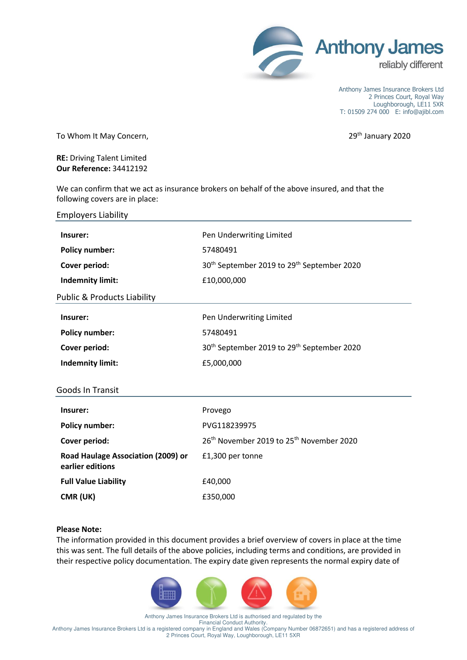

Anthony James Insurance Brokers Ltd 2 Princes Court, Royal Way Loughborough, LE11 5XR T: 01509 274 000 E: info@ajibl.com

To Whom It May Concern, The Concerners of the Contract of the Concerners of the Concerners of the Concerners of the Concerners of the Concerners of the Concerners of the Concerners of the Concerners of the Concerners of th

**RE:** Driving Talent Limited **Our Reference:** 34412192

We can confirm that we act as insurance brokers on behalf of the above insured, and that the following covers are in place:

| <b>Employers Liability</b>                             |                                                                    |
|--------------------------------------------------------|--------------------------------------------------------------------|
| Insurer:                                               | Pen Underwriting Limited                                           |
| <b>Policy number:</b>                                  | 57480491                                                           |
| Cover period:                                          | 30 <sup>th</sup> September 2019 to 29 <sup>th</sup> September 2020 |
| <b>Indemnity limit:</b>                                | £10,000,000                                                        |
| <b>Public &amp; Products Liability</b>                 |                                                                    |
| Insurer:                                               | Pen Underwriting Limited                                           |
| <b>Policy number:</b>                                  | 57480491                                                           |
| Cover period:                                          | 30 <sup>th</sup> September 2019 to 29 <sup>th</sup> September 2020 |
| <b>Indemnity limit:</b>                                | £5,000,000                                                         |
| Goods In Transit                                       |                                                                    |
| Insurer:                                               | Provego                                                            |
| <b>Policy number:</b>                                  | PVG118239975                                                       |
| Cover period:                                          | 26 <sup>th</sup> November 2019 to 25 <sup>th</sup> November 2020   |
| Road Haulage Association (2009) or<br>earlier editions | £1,300 per tonne                                                   |
| <b>Full Value Liability</b>                            | £40,000                                                            |
| CMR (UK)                                               | £350,000                                                           |

## **Please Note:**

The information provided in this document provides a brief overview of covers in place at the time this was sent. The full details of the above policies, including terms and conditions, are provided in their respective policy documentation. The expiry date given represents the normal expiry date of



Anthony James Insurance Brokers Ltd is authorised and regulated by the Financial Conduct Authority. Anthony James Insurance Brokers Ltd is a registered company in England and Wales (Company Number 06872651) and has a registered address of 2 Princes Court, Royal Way, Loughborough, LE11 5XR